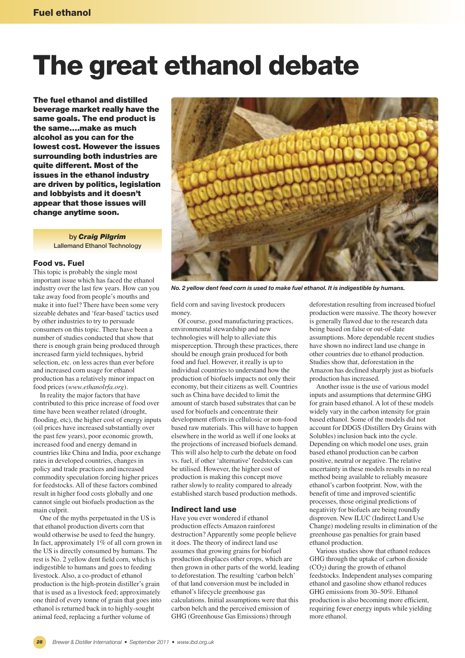# **The great ethanol debate**

**The fuel ethanol and distilled beverage market really have the same goals. The end product is the same….make as much alcohol as you can for the lowest cost. However the issues surrounding both industries are quite different. Most of the issues in the ethanol industry are driven by politics, legislation and lobbyists and it doesn't appear that those issues will change anytime soon.**

> **by** *Craig Pilgrim* **Lallemand Ethanol Technology**

## **Food vs. Fuel**

This topic is probably the single most important issue which has faced the ethanol industry over the last few years. How can you take away food from people's mouths and make it into fuel? There have been some very sizeable debates and 'fear-based'tactics used by other industries to try to persuade consumers on this topic. There have been a number of studies conducted that show that there is enough grain being produced through increased farm yield techniques, hybrid selection, etc. on less acres than ever before and increased corn usage for ethanol production has a relatively minor impact on food prices (*www.ethanolrfa.org*).

In reality the major factors that have contributed to this price increase of food over time have been weather related (drought, flooding, etc), the higher cost of energy inputs (oil prices have increased substantially over the past few years), poor economic growth, increased food and energy demand in countries like China and India, poor exchange rates in developed countries, changes in policy and trade practices and increased commodity speculation forcing higher prices for feedstocks. All of these factors combined result in higher food costs globally and one cannot single out biofuels production as the main culprit.

One of the myths perpetuated in the US is that ethanol production diverts corn that would otherwise be used to feed the hungry. In fact, approximately 1% of all corn grown in the US is directly consumed by humans. The rest is No. 2 yellow dent field corn, which is indigestible to humans and goes to feeding livestock. Also, a co-product of ethanol production is the high-protein distiller's grain that is used as a livestock feed; approximately one third of every tonne of grain that goes into ethanol is returned back in to highly-sought animal feed, replacing a further volume of

*28*



*No. 2 yellow dent feed corn is used to make fuel ethanol. It is indigestible by humans.*

field corn and saving livestock producers money.

Of course, good manufacturing practices, environmental stewardship and new technologies will help to alleviate this misperception. Through these practices, there should be enough grain produced for both food and fuel. However, it really is up to individual countries to understand how the production of biofuels impacts not only their economy, but their citizens as well. Countries such as China have decided to limit the amount of starch based substrates that can be used for biofuels and concentrate their development efforts in cellulosic or non-food based raw materials. This will have to happen elsewhere in the world as well if one looks at the projections of increased biofuels demand. This will also help to curb the debate on food vs. fuel, if other 'alternative'feedstocks can be utilised. However, the higher cost of production is making this concept move rather slowly to reality compared to already established starch based production methods.

## **Indirect land use**

Have you ever wondered if ethanol production effects Amazon rainforest destruction? Apparently some people believe it does. The theory of indirect land use assumes that growing grains for biofuel production displaces other crops, which are then grown in other parts of the world, leading to deforestation. The resulting 'carbon belch' of that land conversion must be included in ethanol's lifecycle greenhouse gas calculations. Initial assumptions were that this carbon belch and the perceived emission of GHG (Greenhouse Gas Emissions) through

deforestation resulting from increased biofuel production were massive. The theory however is generally flawed due to the research data being based on false or out-of-date assumptions. More dependable recent studies have shown no indirect land use change in other countries due to ethanol production. Studies show that, deforestation in the Amazon has declined sharply just as biofuels production has increased.

Another issue is the use of various model inputs and assumptions that determine GHG for grain based ethanol. A lot of these models widely vary in the carbon intensity for grain based ethanol. Some of the models did not account for DDGS (Distillers Dry Grains with Solubles) inclusion back into the cycle. Depending on which model one uses, grain based ethanol production can be carbon positive, neutral or negative. The relative uncertainty in these models results in no real method being available to reliably measure ethanol's carbon footprint. Now, with the benefit of time and improved scientific processes, those original predictions of negativity for biofuels are being roundly disproven. New ILUC (Indirect Land Use Change) modeling results in elimination of the greenhouse gas penalties for grain based ethanol production.

Various studies show that ethanol reduces GHG through the uptake of carbon dioxide (CO2) during the growth of ethanol feedstocks. Independent analyses comparing ethanol and gasoline show ethanol reduces GHG emissions from 30–50%. Ethanol production is also becoming more efficient, requiring fewer energy inputs while yielding more ethanol.